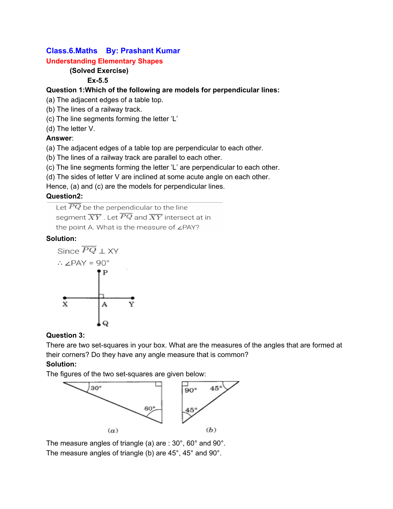# **Class.6.Maths By: Prashant Kumar**

### **Understanding Elementary Shapes**

# **(Solved Exercise)**

## **Ex-5.5**

### **Question 1:Which of the following are models for perpendicular lines:**

(a) The adjacent edges of a table top.

- (b) The lines of a railway track.
- (c) The line segments forming the letter 'L'

(d) The letter V.

### **Answer**:

(a) The adjacent edges of a table top are perpendicular to each other.

- (b) The lines of a railway track are parallel to each other.
- (c) The line segments forming the letter 'L' are perpendicular to each other.

(d) The sides of letter V are inclined at some acute angle on each other.

Hence, (a) and (c) are the models for perpendicular lines.

### **Question2:**

Let  $\overline{PQ}$  be the perpendicular to the line segment  $\overline{XY}$  . Let  $\overline{PQ}$  and  $\overline{XY}$  intersect at in the point A. What is the measure of zPAY?

## **Solution:**



## **Question 3:**

There are two set-squares in your box. What are the measures of the angles that are formed at their corners? Do they have any angle measure that is common?

## **Solution:**

The figures of the two set-squares are given below:



The measure angles of triangle (a) are : 30°, 60° and 90°. The measure angles of triangle (b) are 45°, 45° and 90°.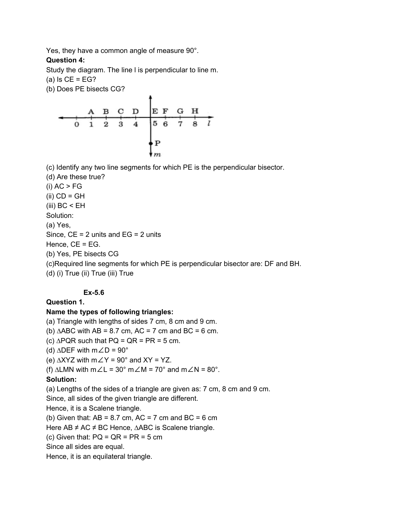Yes, they have a common angle of measure 90°.

#### **Question 4:**

Study the diagram. The line l is perpendicular to line m.

 $(a)$  Is CE = EG?

(b) Does PE bisects CG?



(c) Identify any two line segments for which PE is the perpendicular bisector.

(d) Are these true?  $(i) AC > FG$  $(ii)$  CD = GH (iii)  $BC < EH$ Solution: (a) Yes, Since,  $CE = 2$  units and  $EG = 2$  units Hence, CE = EG. (b) Yes, PE bisects CG (c)Required line segments for which PE is perpendicular bisector are: DF and BH. (d) (i) True (ii) True (iii) True

#### **Ex-5.6**

**Question 1.**

#### **Name the types of following triangles:**

(а) Triangle with lengths of sides 7 cm, 8 cm and 9 cm. (b)  $\triangle ABC$  with AB = 8.7 cm, AC = 7 cm and BC = 6 cm. (c)  $\triangle PQR$  such that PQ = QR = PR = 5 cm. (d)  $\triangle DEF$  with m∠D = 90° (e)  $\triangle$ XYZ with m∠Y = 90° and XY = YZ. (f)  $\triangle LMN$  with m∠L = 30° m∠M = 70° and m∠N = 80°. **Solution:** (a) Lengths of the sides of a triangle are given as: 7 cm, 8 cm and 9 cm. Since, all sides of the given triangle are different. Hence, it is a Scalene triangle. (b) Given that:  $AB = 8.7$  cm,  $AC = 7$  cm and  $BC = 6$  cm Here AB ≠ AC ≠ BC Hence, ∆ABC is Scalene triangle. (c) Given that:  $PQ = QR = PR = 5 cm$ Since all sides are equal. Hence, it is an equilateral triangle.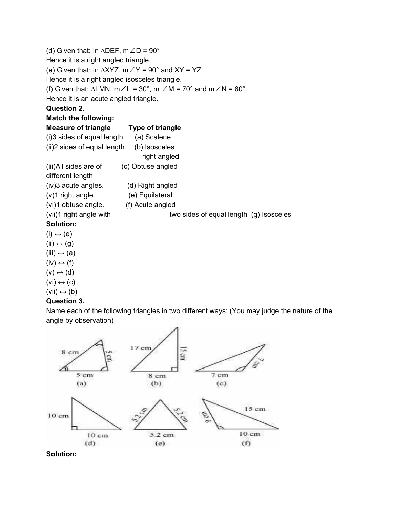| (d) Given that: In $\triangle DEF$ , m $\angle D = 90^{\circ}$ |                                                                                                                         |
|----------------------------------------------------------------|-------------------------------------------------------------------------------------------------------------------------|
| Hence it is a right angled triangle.                           |                                                                                                                         |
|                                                                | (e) Given that: In $\triangle XYZ$ , $m\angle Y = 90^{\circ}$ and $XY = YZ$                                             |
| Hence it is a right angled isosceles triangle.                 |                                                                                                                         |
|                                                                | (f) Given that: $\triangle LMN$ , $m \angle L = 30^{\circ}$ , $m \angle M = 70^{\circ}$ and $m \angle N = 80^{\circ}$ . |
| Hence it is an acute angled triangle.                          |                                                                                                                         |
| <b>Question 2.</b>                                             |                                                                                                                         |
| <b>Match the following:</b>                                    |                                                                                                                         |
| Measure of triangle Type of triangle                           |                                                                                                                         |
| $(i)$ 3 sides of equal length. $(a)$ Scalene                   |                                                                                                                         |
| (ii) 2 sides of equal length. (b) Isosceles                    |                                                                                                                         |
|                                                                | right angled                                                                                                            |
| (iii)All sides are of                                          | (c) Obtuse angled                                                                                                       |
| different length                                               |                                                                                                                         |
| (iv)3 acute angles.                                            | (d) Right angled                                                                                                        |
| (v)1 right angle. (e) Equilateral                              |                                                                                                                         |
| (vi)1 obtuse angle. (f) Acute angled                           |                                                                                                                         |
| (vii)1 right angle with                                        | two sides of equal length (g) Isosceles                                                                                 |
| Solution:                                                      |                                                                                                                         |
| $(i) \leftrightarrow (e)$                                      |                                                                                                                         |
| $(ii) \leftrightarrow (g)$                                     |                                                                                                                         |
| (iii) $\leftrightarrow$ (a)                                    |                                                                                                                         |
| $(iv) \leftrightarrow (f)$                                     |                                                                                                                         |

- $(IV) \leftrightarrow (1)$  $(V) \leftrightarrow (d)$
- $(vi) \leftrightarrow (c)$
- $(vii) \leftrightarrow (b)$

### **Question 3.**

Name each of the following triangles in two different ways: (You may judge the nature of the angle by observation)



**Solution:**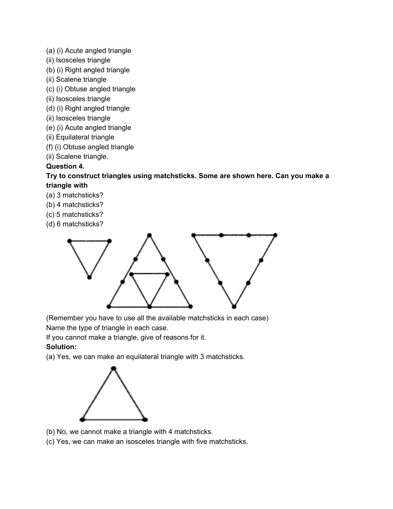- (a) (i) Acute angled triangle
- (ii) Isosceles triangle
- (b) (i) Right angled triangle
- (ii) Scalene triangle
- (c) (i) Obtuse angled triangle
- (ii) Isosceles triangle
- (d) (i) Right angled triangle
- (ii) Isosceles triangle
- (e) (i) Acute angled triangle
- (ii) Equilateral triangle
- (f) (i) Obtuse angled triangle
- (ii) Scalene triangle.

#### **Question 4.**

#### **Try to construct triangles using matchsticks. Some are shown here. Can you make a triangle with**

- (a) 3 matchsticks?
- (b) 4 matchsticks?
- (c) 5 matchsticks?
- (d) 6 matchsticks?



(Remember you have to use all the available matchsticks in each case) Name the type of triangle in each case.

If you cannot make a triangle, give of reasons for it.

## **Solution:**

(a) Yes, we can make an equilateral triangle with 3 matchsticks.



- (b) No, we cannot make a triangle with 4 matchsticks.
- (c) Yes, we can make an isosceles triangle with five matchsticks.